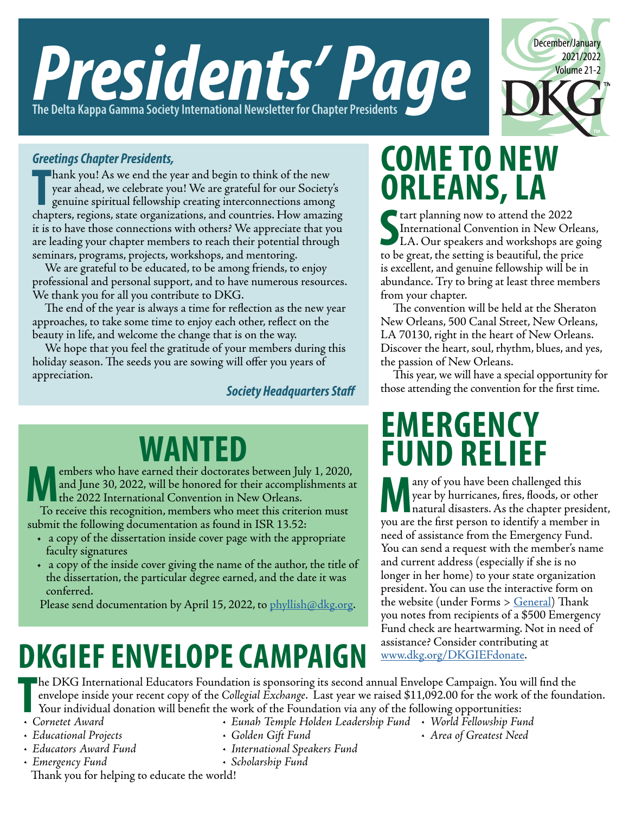

## December/January 2021/2022 Volume 21-2

#### *Greetings Chapter Presidents,*

**Thank you!** As we end the year and begin to think of the new year ahead, we celebrate you! We are grateful for our Society's genuine spiritual fellowship creating interconnections among chapters, regions, state organizati hank you! As we end the year and begin to think of the new year ahead, we celebrate you! We are grateful for our Society's genuine spiritual fellowship creating interconnections among it is to have those connections with others? We appreciate that you are leading your chapter members to reach their potential through seminars, programs, projects, workshops, and mentoring.

We are grateful to be educated, to be among friends, to enjoy professional and personal support, and to have numerous resources. We thank you for all you contribute to DKG.

The end of the year is always a time for reflection as the new year approaches, to take some time to enjoy each other, reflect on the beauty in life, and welcome the change that is on the way.

We hope that you feel the gratitude of your members during this holiday season. The seeds you are sowing will offer you years of appreciation.

*Society Headquarters Staff*

# embers who have earned their doctorates between July 1, 2020,

embers who have earned their doctorates between July 1, 2020,<br>the 2022 International Convention in New Orleans.<br>To receive this recognition members who meet this criterian must and June 30, 2022, will be honored for their accomplishments at the 2022 International Convention in New Orleans.

To receive this recognition, members who meet this criterion must submit the following documentation as found in ISR 13.52:

- a copy of the dissertation inside cover page with the appropriate faculty signatures
- a copy of the inside cover giving the name of the author, the title of the dissertation, the particular degree earned, and the date it was conferred.

Please send documentation by April 15, 2022, to [phyllish@dkg.org.](mailto:phyllish%40dkg.org?subject=)

## **DKGIEF ENVELOPE CAMPAIGN**

## **COME TO NEW ORLEANS, LA**

**S**<br>
International Convention in New Orl<br>
LA. Our speakers and workshops are<br>
to be great the setting is beautiful, the prior International Convention in New Orleans, LA. Our speakers and workshops are going to be great, the setting is beautiful, the price is excellent, and genuine fellowship will be in abundance. Try to bring at least three members from your chapter.

The convention will be held at the Sheraton New Orleans, 500 Canal Street, New Orleans, LA 70130, right in the heart of New Orleans. Discover the heart, soul, rhythm, blues, and yes, the passion of New Orleans.

This year, we will have a special opportunity for those attending the convention for the first time.

### **EMERGENCY FUND RELIEF**

**Many of you have been challenged this**<br>year by hurricanes, fires, floods, or ot<br>natural disasters. As the chapter pres<br>you are the first person to identify a membe year by hurricanes, fires, floods, or other natural disasters. As the chapter president, you are the first person to identify a member in need of assistance from the Emergency Fund. You can send a request with the member's name and current address (especially if she is no longer in her home) to your state organization president. You can use the interactive form on the website (under Forms > [General\)](https://www.dkg.org/DKGMember/Forms/General/DKGMember/Forms/General%20Forms.aspx) Thank you notes from recipients of a \$500 Emergency Fund check are heartwarming. Not in need of assistance? Consider contributing at [www.dkg.org/DKGIEFdonate.](http://www.dkg.org/DKGIEFdonate)

**F • PKG** Inter<br> **France Award**<br> **France Award**<br> **France Award**<br> **France Award** he DKG International Educators Foundation is sponsoring its second annual Envelope Campaign. You will find the envelope inside your recent copy of the *Collegial Exchange*. Last year we raised \$11,092.00 for the work of the foundation. Your individual donation will benefit the work of the Foundation via any of the following opportunities:

- 
- *• Educational Projects*
- *• Educators Award Fund*
- *• Emergency Fund*
- *• Golden Gift Fund*
- *• International Speakers Fund*
- *• Eunah Temple Holden Leadership Fund • World Fellowship Fund • Area of Greatest Need*
- *• Scholarship Fund*

Thank you for helping to educate the world!